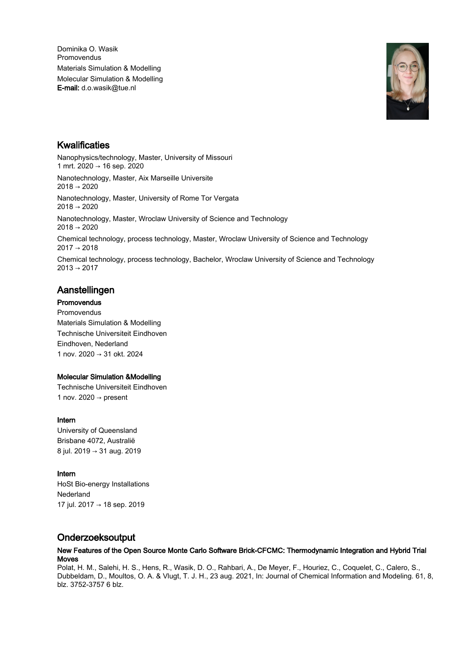Dominika O. Wasik Promovendus Materials Simulation & Modelling Molecular Simulation & Modelling E-mail: d.o.wasik@tue.nl



# Kwalificaties

Nanophysics/technology, Master, University of Missouri 1 mrt. 2020 → 16 sep. 2020

Nanotechnology, Master, Aix Marseille Universite 2018 → 2020

Nanotechnology, Master, University of Rome Tor Vergata 2018 → 2020

Nanotechnology, Master, Wroclaw University of Science and Technology 2018 → 2020

Chemical technology, process technology, Master, Wroclaw University of Science and Technology  $2017 \rightarrow 2018$ 

Chemical technology, process technology, Bachelor, Wroclaw University of Science and Technology  $2013 \rightarrow 2017$ 

## Aanstellingen

**Promovendus** Promovendus Materials Simulation & Modelling Technische Universiteit Eindhoven Eindhoven, Nederland 1 nov. 2020 → 31 okt. 2024

#### Molecular Simulation &Modelling

Technische Universiteit Eindhoven 1 nov. 2020  $\rightarrow$  present

#### Intern

University of Queensland Brisbane 4072, Australië 8 jul. 2019 → 31 aug. 2019

### Intern

HoSt Bio-energy Installations Nederland 17 jul. 2017 → 18 sep. 2019

# Onderzoeksoutput

#### New Features of the Open Source Monte Carlo Software Brick-CFCMC: Thermodynamic Integration and Hybrid Trial Moves

Polat, H. M., Salehi, H. S., Hens, R., Wasik, D. O., Rahbari, A., De Meyer, F., Houriez, C., Coquelet, C., Calero, S., Dubbeldam, D., Moultos, O. A. & Vlugt, T. J. H., 23 aug. 2021, In: Journal of Chemical Information and Modeling. 61, 8, blz. 3752-3757 6 blz.